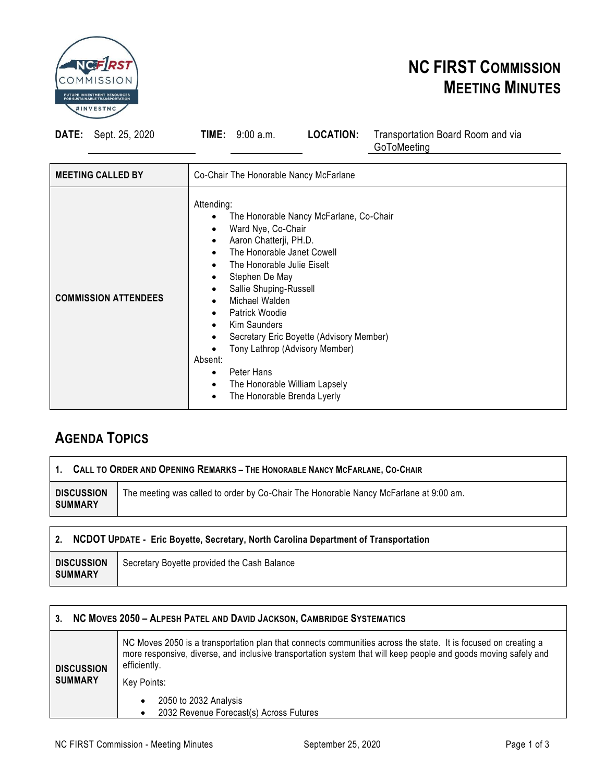

# **NC FIRST COMMISSION MEETING MINUTES**

**DATE:** Sept. 25, 2020 **TIME:** 9:00 a.m. **LOCATION:** Transportation Board Room and via

GoToMeeting

| <b>MEETING CALLED BY</b>    | Co-Chair The Honorable Nancy McFarlane                                                                                                                                                                                                                                                                                                                                                                                                                             |  |  |
|-----------------------------|--------------------------------------------------------------------------------------------------------------------------------------------------------------------------------------------------------------------------------------------------------------------------------------------------------------------------------------------------------------------------------------------------------------------------------------------------------------------|--|--|
| <b>COMMISSION ATTENDEES</b> | Attending:<br>The Honorable Nancy McFarlane, Co-Chair<br>Ward Nye, Co-Chair<br>Aaron Chatterji, PH.D.<br>$\bullet$<br>The Honorable Janet Cowell<br>The Honorable Julie Eiselt<br>Stephen De May<br>Sallie Shuping-Russell<br>Michael Walden<br>Patrick Woodie<br>Kim Saunders<br>Secretary Eric Boyette (Advisory Member)<br>Tony Lathrop (Advisory Member)<br>Absent:<br>Peter Hans<br>The Honorable William Lapsely<br>$\bullet$<br>The Honorable Brenda Lyerly |  |  |

# **AGENDA TOPICS**

### 1. CALL TO ORDER AND OPENING REMARKS - THE HONORABLE NANCY MCFARLANE, CO-CHAIR

**DISCUSSION SUMMARY** The meeting was called to order by Co-Chair The Honorable Nancy McFarlane at 9:00 am.

## **2. NCDOT UPDATE - Eric Boyette, Secretary, North Carolina Department of Transportation**

### **3. NC MOVES 2050 – ALPESH PATEL AND DAVID JACKSON, CAMBRIDGE SYSTEMATICS**

| <b>DISCUSSION</b><br><b>SUMMARY</b> | NC Moves 2050 is a transportation plan that connects communities across the state. It is focused on creating a<br>more responsive, diverse, and inclusive transportation system that will keep people and goods moving safely and<br>efficiently. |  |  |  |
|-------------------------------------|---------------------------------------------------------------------------------------------------------------------------------------------------------------------------------------------------------------------------------------------------|--|--|--|
|                                     | Key Points:<br>2050 to 2032 Analysis                                                                                                                                                                                                              |  |  |  |
|                                     | 2032 Revenue Forecast(s) Across Futures                                                                                                                                                                                                           |  |  |  |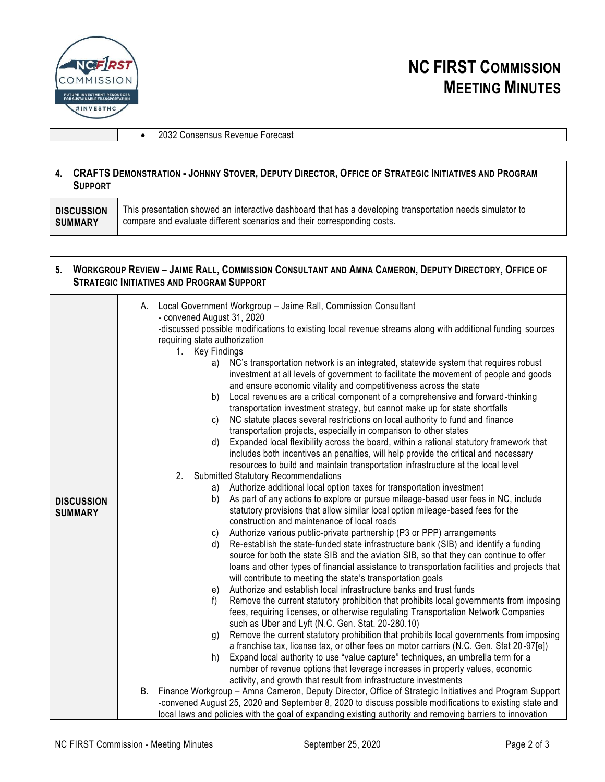

• 2032 Consensus Revenue Forecast

#### 4. CRAFTS DEMONSTRATION - JOHNNY STOVER, DEPUTY DIRECTOR, OFFICE OF STRATEGIC INITIATIVES AND PROGRAM **SUPPORT**

| This presentation showed an interactive dashboard that has a developing transportation needs simulator to<br><b>DISCUSSION</b><br>compare and evaluate different scenarios and their corresponding costs.<br>SUMMARY |
|----------------------------------------------------------------------------------------------------------------------------------------------------------------------------------------------------------------------|
|----------------------------------------------------------------------------------------------------------------------------------------------------------------------------------------------------------------------|

#### 5. WORKGROUP REVIEW - JAIME RALL, COMMISSION CONSULTANT AND AMNA CAMERON, DEPUTY DIRECTORY, OFFICE OF **STRATEGIC INITIATIVES AND PROGRAM SUPPORT**

|                                     | A. Local Government Workgroup - Jaime Rall, Commission Consultant                                                                                                                                                                                                                                                                                                                                                                                                                                                                                                                                                                                                                                                                                                                                                                                                                                                                                                                                                                                                                                                                                                                                                                                                                                                                                                                                                                                                                                                                                                                                                                                                                                                                                                                                                                                                                                                                                                                                                                                                                                                                                                                                                                                                                                                                                                |
|-------------------------------------|------------------------------------------------------------------------------------------------------------------------------------------------------------------------------------------------------------------------------------------------------------------------------------------------------------------------------------------------------------------------------------------------------------------------------------------------------------------------------------------------------------------------------------------------------------------------------------------------------------------------------------------------------------------------------------------------------------------------------------------------------------------------------------------------------------------------------------------------------------------------------------------------------------------------------------------------------------------------------------------------------------------------------------------------------------------------------------------------------------------------------------------------------------------------------------------------------------------------------------------------------------------------------------------------------------------------------------------------------------------------------------------------------------------------------------------------------------------------------------------------------------------------------------------------------------------------------------------------------------------------------------------------------------------------------------------------------------------------------------------------------------------------------------------------------------------------------------------------------------------------------------------------------------------------------------------------------------------------------------------------------------------------------------------------------------------------------------------------------------------------------------------------------------------------------------------------------------------------------------------------------------------------------------------------------------------------------------------------------------------|
|                                     | - convened August 31, 2020                                                                                                                                                                                                                                                                                                                                                                                                                                                                                                                                                                                                                                                                                                                                                                                                                                                                                                                                                                                                                                                                                                                                                                                                                                                                                                                                                                                                                                                                                                                                                                                                                                                                                                                                                                                                                                                                                                                                                                                                                                                                                                                                                                                                                                                                                                                                       |
|                                     | -discussed possible modifications to existing local revenue streams along with additional funding sources                                                                                                                                                                                                                                                                                                                                                                                                                                                                                                                                                                                                                                                                                                                                                                                                                                                                                                                                                                                                                                                                                                                                                                                                                                                                                                                                                                                                                                                                                                                                                                                                                                                                                                                                                                                                                                                                                                                                                                                                                                                                                                                                                                                                                                                        |
|                                     | $1_{-}$                                                                                                                                                                                                                                                                                                                                                                                                                                                                                                                                                                                                                                                                                                                                                                                                                                                                                                                                                                                                                                                                                                                                                                                                                                                                                                                                                                                                                                                                                                                                                                                                                                                                                                                                                                                                                                                                                                                                                                                                                                                                                                                                                                                                                                                                                                                                                          |
| <b>DISCUSSION</b><br><b>SUMMARY</b> | requiring state authorization<br><b>Key Findings</b><br>NC's transportation network is an integrated, statewide system that requires robust<br>a)<br>investment at all levels of government to facilitate the movement of people and goods<br>and ensure economic vitality and competitiveness across the state<br>Local revenues are a critical component of a comprehensive and forward-thinking<br>b)<br>transportation investment strategy, but cannot make up for state shortfalls<br>NC statute places several restrictions on local authority to fund and finance<br>C)<br>transportation projects, especially in comparison to other states<br>Expanded local flexibility across the board, within a rational statutory framework that<br>d)<br>includes both incentives an penalties, will help provide the critical and necessary<br>resources to build and maintain transportation infrastructure at the local level<br><b>Submitted Statutory Recommendations</b><br>2 <sub>1</sub><br>Authorize additional local option taxes for transportation investment<br>a)<br>As part of any actions to explore or pursue mileage-based user fees in NC, include<br>b)<br>statutory provisions that allow similar local option mileage-based fees for the<br>construction and maintenance of local roads<br>Authorize various public-private partnership (P3 or PPP) arrangements<br>C)<br>Re-establish the state-funded state infrastructure bank (SIB) and identify a funding<br>d)<br>source for both the state SIB and the aviation SIB, so that they can continue to offer<br>loans and other types of financial assistance to transportation facilities and projects that<br>will contribute to meeting the state's transportation goals<br>Authorize and establish local infrastructure banks and trust funds<br>e)<br>Remove the current statutory prohibition that prohibits local governments from imposing<br>f)<br>fees, requiring licenses, or otherwise regulating Transportation Network Companies<br>such as Uber and Lyft (N.C. Gen. Stat. 20-280.10)<br>Remove the current statutory prohibition that prohibits local governments from imposing<br>g)<br>a franchise tax, license tax, or other fees on motor carriers (N.C. Gen. Stat 20-97[e])<br>Expand local authority to use "value capture" techniques, an umbrella term for a<br>h) |
|                                     | number of revenue options that leverage increases in property values, economic                                                                                                                                                                                                                                                                                                                                                                                                                                                                                                                                                                                                                                                                                                                                                                                                                                                                                                                                                                                                                                                                                                                                                                                                                                                                                                                                                                                                                                                                                                                                                                                                                                                                                                                                                                                                                                                                                                                                                                                                                                                                                                                                                                                                                                                                                   |
|                                     | activity, and growth that result from infrastructure investments                                                                                                                                                                                                                                                                                                                                                                                                                                                                                                                                                                                                                                                                                                                                                                                                                                                                                                                                                                                                                                                                                                                                                                                                                                                                                                                                                                                                                                                                                                                                                                                                                                                                                                                                                                                                                                                                                                                                                                                                                                                                                                                                                                                                                                                                                                 |
|                                     | B. Finance Workgroup - Amna Cameron, Deputy Director, Office of Strategic Initiatives and Program Support                                                                                                                                                                                                                                                                                                                                                                                                                                                                                                                                                                                                                                                                                                                                                                                                                                                                                                                                                                                                                                                                                                                                                                                                                                                                                                                                                                                                                                                                                                                                                                                                                                                                                                                                                                                                                                                                                                                                                                                                                                                                                                                                                                                                                                                        |
|                                     | -convened August 25, 2020 and September 8, 2020 to discuss possible modifications to existing state and                                                                                                                                                                                                                                                                                                                                                                                                                                                                                                                                                                                                                                                                                                                                                                                                                                                                                                                                                                                                                                                                                                                                                                                                                                                                                                                                                                                                                                                                                                                                                                                                                                                                                                                                                                                                                                                                                                                                                                                                                                                                                                                                                                                                                                                          |
|                                     | local laws and policies with the goal of expanding existing authority and removing barriers to innovation                                                                                                                                                                                                                                                                                                                                                                                                                                                                                                                                                                                                                                                                                                                                                                                                                                                                                                                                                                                                                                                                                                                                                                                                                                                                                                                                                                                                                                                                                                                                                                                                                                                                                                                                                                                                                                                                                                                                                                                                                                                                                                                                                                                                                                                        |